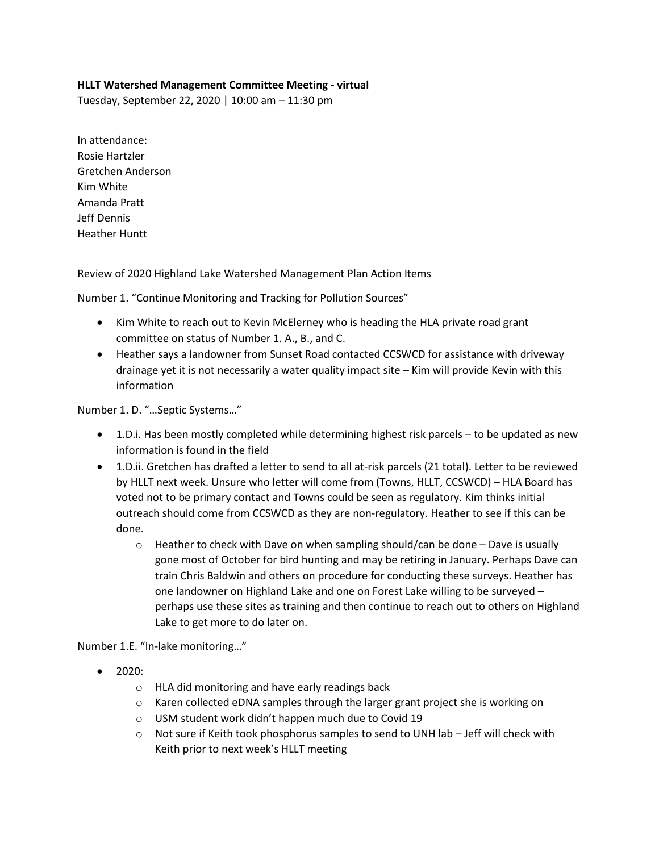## **HLLT Watershed Management Committee Meeting - virtual**

Tuesday, September 22, 2020 | 10:00 am – 11:30 pm

In attendance: Rosie Hartzler Gretchen Anderson Kim White Amanda Pratt Jeff Dennis Heather Huntt

Review of 2020 Highland Lake Watershed Management Plan Action Items

Number 1. "Continue Monitoring and Tracking for Pollution Sources"

- Kim White to reach out to Kevin McElerney who is heading the HLA private road grant committee on status of Number 1. A., B., and C.
- Heather says a landowner from Sunset Road contacted CCSWCD for assistance with driveway drainage yet it is not necessarily a water quality impact site – Kim will provide Kevin with this information

Number 1. D. "…Septic Systems…"

- 1.D.i. Has been mostly completed while determining highest risk parcels to be updated as new information is found in the field
- 1.D.ii. Gretchen has drafted a letter to send to all at-risk parcels (21 total). Letter to be reviewed by HLLT next week. Unsure who letter will come from (Towns, HLLT, CCSWCD) – HLA Board has voted not to be primary contact and Towns could be seen as regulatory. Kim thinks initial outreach should come from CCSWCD as they are non-regulatory. Heather to see if this can be done.
	- $\circ$  Heather to check with Dave on when sampling should/can be done Dave is usually gone most of October for bird hunting and may be retiring in January. Perhaps Dave can train Chris Baldwin and others on procedure for conducting these surveys. Heather has one landowner on Highland Lake and one on Forest Lake willing to be surveyed – perhaps use these sites as training and then continue to reach out to others on Highland Lake to get more to do later on.

Number 1.E. "In-lake monitoring…"

- $2020:$ 
	- o HLA did monitoring and have early readings back
	- $\circ$  Karen collected eDNA samples through the larger grant project she is working on
	- o USM student work didn't happen much due to Covid 19
	- $\circ$  Not sure if Keith took phosphorus samples to send to UNH lab Jeff will check with Keith prior to next week's HLLT meeting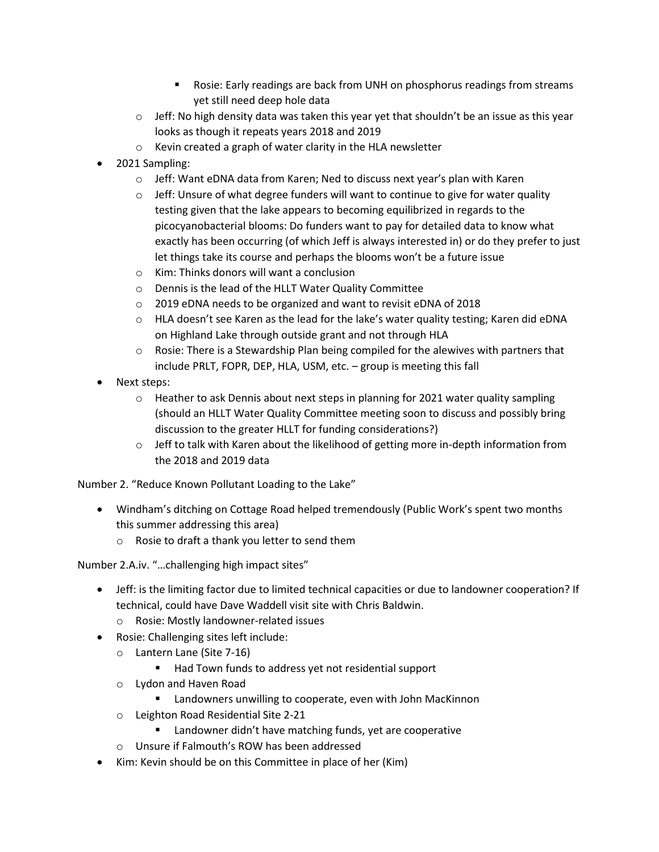- Rosie: Early readings are back from UNH on phosphorus readings from streams yet still need deep hole data
- $\circ$  Jeff: No high density data was taken this year yet that shouldn't be an issue as this year looks as though it repeats years 2018 and 2019
- o Kevin created a graph of water clarity in the HLA newsletter
- 2021 Sampling:
	- $\circ$  Jeff: Want eDNA data from Karen; Ned to discuss next year's plan with Karen
	- $\circ$  Jeff: Unsure of what degree funders will want to continue to give for water quality testing given that the lake appears to becoming equilibrized in regards to the picocyanobacterial blooms: Do funders want to pay for detailed data to know what exactly has been occurring (of which Jeff is always interested in) or do they prefer to just let things take its course and perhaps the blooms won't be a future issue
	- o Kim: Thinks donors will want a conclusion
	- o Dennis is the lead of the HLLT Water Quality Committee
	- o 2019 eDNA needs to be organized and want to revisit eDNA of 2018
	- o HLA doesn't see Karen as the lead for the lake's water quality testing; Karen did eDNA on Highland Lake through outside grant and not through HLA
	- $\circ$  Rosie: There is a Stewardship Plan being compiled for the alewives with partners that include PRLT, FOPR, DEP, HLA, USM, etc. – group is meeting this fall
- Next steps:
	- $\circ$  Heather to ask Dennis about next steps in planning for 2021 water quality sampling (should an HLLT Water Quality Committee meeting soon to discuss and possibly bring discussion to the greater HLLT for funding considerations?)
	- $\circ$  Jeff to talk with Karen about the likelihood of getting more in-depth information from the 2018 and 2019 data

Number 2. "Reduce Known Pollutant Loading to the Lake"

- Windham's ditching on Cottage Road helped tremendously (Public Work's spent two months this summer addressing this area)
	- o Rosie to draft a thank you letter to send them

Number 2.A.iv. "…challenging high impact sites"

- Jeff: is the limiting factor due to limited technical capacities or due to landowner cooperation? If technical, could have Dave Waddell visit site with Chris Baldwin.
	- o Rosie: Mostly landowner-related issues
- Rosie: Challenging sites left include:
	- o Lantern Lane (Site 7-16)
		- Had Town funds to address yet not residential support
	- o Lydon and Haven Road
		- Landowners unwilling to cooperate, even with John MacKinnon
	- o Leighton Road Residential Site 2-21
		- Landowner didn't have matching funds, yet are cooperative
	- o Unsure if Falmouth's ROW has been addressed
- Kim: Kevin should be on this Committee in place of her (Kim)